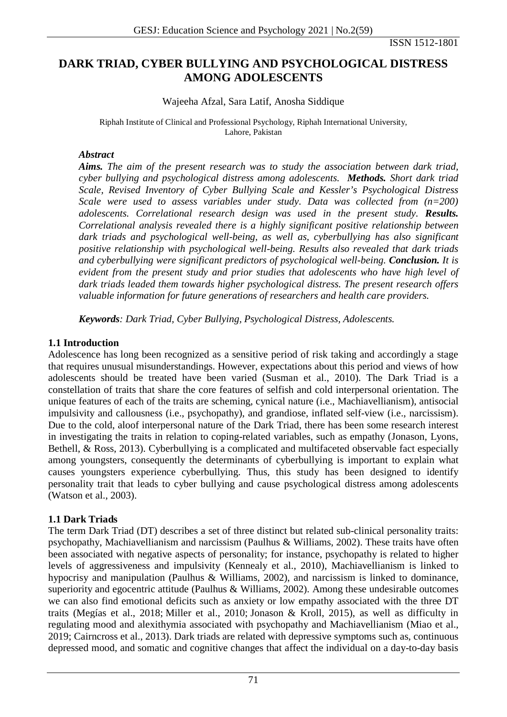ISSN 1512-1801

# **DARK TRIAD, CYBER BULLYING AND PSYCHOLOGICAL DISTRESS AMONG ADOLESCENTS**

### Wajeeha Afzal, Sara Latif, Anosha Siddique

Riphah Institute of Clinical and Professional Psychology, Riphah International University, Lahore, Pakistan

#### *Abstract*

*Aims. The aim of the present research was to study the association between dark triad, cyber bullying and psychological distress among adolescents. Methods. Short dark triad Scale, Revised Inventory of Cyber Bullying Scale and Kessler's Psychological Distress Scale were used to assess variables under study. Data was collected from (n=200) adolescents. Correlational research design was used in the present study. Results. Correlational analysis revealed there is a highly significant positive relationship between dark triads and psychological well-being, as well as, cyberbullying has also significant positive relationship with psychological well-being. Results also revealed that dark triads and cyberbullying were significant predictors of psychological well-being. Conclusion. It is evident from the present study and prior studies that adolescents who have high level of dark triads leaded them towards higher psychological distress. The present research offers valuable information for future generations of researchers and health care providers.*

*Keywords: Dark Triad, Cyber Bullying, Psychological Distress, Adolescents.*

### **1.1 Introduction**

Adolescence has long been recognized as a sensitive period of risk taking and accordingly a stage that requires unusual misunderstandings. However, expectations about this period and views of how adolescents should be treated have been varied (Susman et al., 2010). The Dark Triad is a constellation of traits that share the core features of selfish and cold interpersonal orientation. The unique features of each of the traits are scheming, cynical nature (i.e., Machiavellianism), antisocial impulsivity and callousness (i.e., psychopathy), and grandiose, inflated self-view (i.e., narcissism). Due to the cold, aloof interpersonal nature of the Dark Triad, there has been some research interest in investigating the traits in relation to coping-related variables, such as empathy [\(Jonason, Lyons,](https://journals.sagepub.com/doi/10.1177/2158244018822383)  [Bethell, & Ross, 2013\)](https://journals.sagepub.com/doi/10.1177/2158244018822383). Cyberbullying is a complicated and multifaceted observable fact especially among youngsters, consequently the determinants of cyberbullying is important to explain what causes youngsters experience cyberbullying. Thus, this study has been designed to identify personality trait that leads to cyber bullying and cause psychological distress among adolescents (Watson et al., 2003).

### **1.1 Dark Triads**

The term Dark Triad (DT) describes a set of three distinct but related sub-clinical personality traits: psychopathy, Machiavellianism and narcissism [\(Paulhus & Williams, 2002\)](https://www.ncbi.nlm.nih.gov/pmc/articles/PMC6886484/#ref-41). These traits have often been associated with negative aspects of personality; for instance, psychopathy is related to higher levels of aggressiveness and impulsivity [\(Kennealy et al., 2010\)](https://www.ncbi.nlm.nih.gov/pmc/articles/PMC6886484/#ref-27), Machiavellianism is linked to hypocrisy and manipulation [\(Paulhus & Williams, 2002\)](https://www.ncbi.nlm.nih.gov/pmc/articles/PMC6886484/#ref-41), and narcissism is linked to dominance, superiority and egocentric attitude [\(Paulhus & Williams, 2002\)](https://www.ncbi.nlm.nih.gov/pmc/articles/PMC6886484/#ref-41). Among these undesirable outcomes we can also find emotional deficits such as anxiety or low empathy associated with the three DT traits [\(Megías et al., 2018;](https://www.ncbi.nlm.nih.gov/pmc/articles/PMC6886484/#ref-32) [Miller et al., 2010;](https://www.ncbi.nlm.nih.gov/pmc/articles/PMC6886484/#ref-34) [Jonason & Kroll, 2015\)](https://www.ncbi.nlm.nih.gov/pmc/articles/PMC6886484/#ref-23), as well as difficulty in regulating mood and alexithymia associated with psychopathy and Machiavellianism [\(Miao et al.,](https://www.ncbi.nlm.nih.gov/pmc/articles/PMC6886484/#ref-33)  [2019;](https://www.ncbi.nlm.nih.gov/pmc/articles/PMC6886484/#ref-33) [Cairncross et al., 2013\)](https://www.ncbi.nlm.nih.gov/pmc/articles/PMC6886484/#ref-6). Dark triads are related with depressive symptoms such as, continuous depressed mood, and somatic and cognitive changes that affect the individual on a day-to-day basis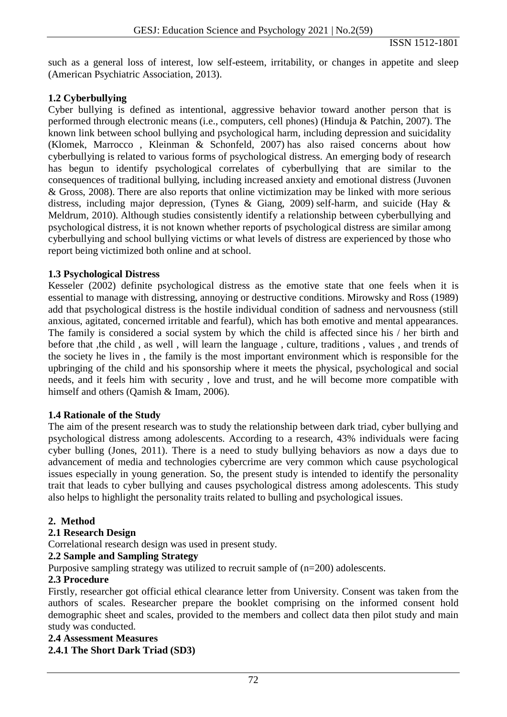such as a general loss of interest, low self-esteem, irritability, or changes in appetite and sleep [\(American Psychiatric Association, 2013\)](https://www.ncbi.nlm.nih.gov/pmc/articles/PMC6886484/#ref-3).

### **1.2 Cyberbullying**

Cyber bullying is defined as intentional, aggressive behavior toward another person that is performed through electronic means (i.e., computers, cell phones) (Hinduja & Patchin, 2007). The known link between school bullying and psychological harm, including depression and suicidality (Klomek, Marrocco , Kleinman & Schonfeld, 2007) has also raised concerns about how cyberbullying is related to various forms of psychological distress. An emerging body of research has begun to identify psychological correlates of cyberbullying that are similar to the consequences of traditional bullying, including increased anxiety and emotional distress (Juvonen & Gross, 2008). There are also reports that online victimization may be linked with more serious distress, including major depression, (Tynes & Giang, 2009) self-harm, and suicide (Hay & Meldrum, 2010). Although studies consistently identify a relationship between cyberbullying and psychological distress, it is not known whether reports of psychological distress are similar among cyberbullying and school bullying victims or what levels of distress are experienced by those who report being victimized both online and at school.

### **1.3 Psychological Distress**

Kesseler (2002) definite psychological distress as the emotive state that one feels when it is essential to manage with distressing, annoying or destructive conditions. Mirowsky and Ross (1989) add that psychological distress is the hostile individual condition of sadness and nervousness (still anxious, agitated, concerned irritable and fearful), which has both emotive and mental appearances. The family is considered a social system by which the child is affected since his / her birth and before that ,the child , as well , will learn the language , culture, traditions , values , and trends of the society he lives in , the family is the most important environment which is responsible for the upbringing of the child and his sponsorship where it meets the physical, psychological and social needs, and it feels him with security , love and trust, and he will become more compatible with himself and others (Qamish & Imam, 2006).

### **1.4 Rationale of the Study**

The aim of the present research was to study the relationship between dark triad, cyber bullying and psychological distress among adolescents. According to a research, 43% individuals were facing cyber bulling (Jones, 2011). There is a need to study bullying behaviors as now a days due to advancement of media and technologies cybercrime are very common which cause psychological issues especially in young generation. So, the present study is intended to identify the personality trait that leads to cyber bullying and causes psychological distress among adolescents. This study also helps to highlight the personality traits related to bulling and psychological issues.

#### **2. Method**

### **2.1 Research Design**

Correlational research design was used in present study.

### **2.2 Sample and Sampling Strategy**

Purposive sampling strategy was utilized to recruit sample of (n=200) adolescents.

### **2.3 Procedure**

Firstly, researcher got official ethical clearance letter from University. Consent was taken from the authors of scales. Researcher prepare the booklet comprising on the informed consent hold demographic sheet and scales, provided to the members and collect data then pilot study and main study was conducted.

#### **2.4 Assessment Measures**

### **2.4.1 The Short Dark Triad (SD3)**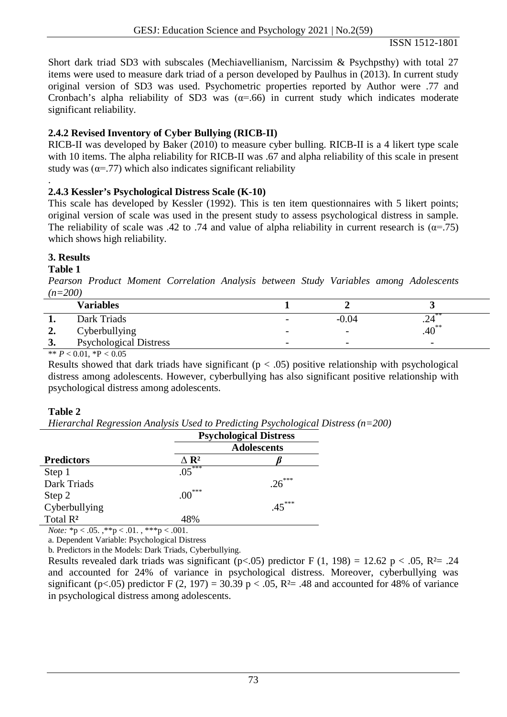ISSN 1512-1801

Short dark triad SD3 with subscales (Mechiavellianism, Narcissim & Psychpsthy) with total 27 items were used to measure dark triad of a person developed by Paulhus in (2013). In current study original version of SD3 was used. Psychometric properties reported by Author were .77 and Cronbach's alpha reliability of SD3 was  $(\alpha = .66)$  in current study which indicates moderate significant reliability.

# **2.4.2 Revised Inventory of Cyber Bullying (RICB-II)**

RICB-II was developed by Baker (2010) to measure cyber bulling. RICB-II is a 4 likert type scale with 10 items. The alpha reliability for RICB-II was .67 and alpha reliability of this scale in present study was  $(\alpha = .77)$  which also indicates significant reliability

#### . **2.4.3 Kessler's Psychological Distress Scale (K-10)**

This scale has developed by Kessler (1992). This is ten item questionnaires with 5 likert points; original version of scale was used in the present study to assess psychological distress in sample. The reliability of scale was .42 to .74 and value of alpha reliability in current research is ( $\alpha$ =.75) which shows high reliability.

# **3. Results**

# **Table 1**

*Pearson Product Moment Correlation Analysis between Study Variables among Adolescents (n=200)*

|    | <b>Variables</b>                                                                                  |                          |                          |                          |
|----|---------------------------------------------------------------------------------------------------|--------------------------|--------------------------|--------------------------|
|    | Dark Triads                                                                                       | -                        | $-0.04$                  | . 24                     |
| ∠. | Cyberbullying                                                                                     | $\overline{\phantom{a}}$ | $\overline{\phantom{a}}$ | $.40^{**}$               |
| 3. | <b>Psychological Distress</b>                                                                     | $\overline{\phantom{m}}$ | $\overline{\phantom{a}}$ | $\overline{\phantom{0}}$ |
|    | $\mathbf{a} \cdot \mathbf{b}$ and $\mathbf{b} \cdot \mathbf{c}$ and $\mathbf{b} \cdot \mathbf{c}$ |                          |                          |                          |

\*\*  $P < 0.01$ , \*P  $< 0.05$ 

Results showed that dark triads have significant ( $p < .05$ ) positive relationship with psychological distress among adolescents. However, cyberbullying has also significant positive relationship with psychological distress among adolescents.

# **Table 2**

*Hierarchal Regression Analysis Used to Predicting Psychological Distress (n=200)*

|                      | <b>Psychological Distress</b><br><b>Adolescents</b> |          |  |
|----------------------|-----------------------------------------------------|----------|--|
|                      |                                                     |          |  |
| <b>Predictors</b>    | $\Delta$ R <sup>2</sup>                             |          |  |
| Step 1               | $0.5***$                                            |          |  |
| Dark Triads          |                                                     | $.26***$ |  |
| Step 2               | ***<br>$.00\,$                                      |          |  |
| Cyberbullying        |                                                     | $45***$  |  |
| Total R <sup>2</sup> | 48%                                                 |          |  |

*Note:*  ${}^*p < .05$ .  ${}^*p < .01$ .  ${}^*{}^*p < .001$ .

a. Dependent Variable: Psychological Distress

b. Predictors in the Models: Dark Triads, Cyberbullying.

Results revealed dark triads was significant ( $p<0.05$ ) predictor F (1, 198) = 12.62 p < .05, R<sup>2</sup>= .24 and accounted for 24% of variance in psychological distress. Moreover, cyberbullying was significant (p<.05) predictor F (2, 197) = 30.39 p < .05, R<sup>2</sup>= .48 and accounted for 48% of variance in psychological distress among adolescents.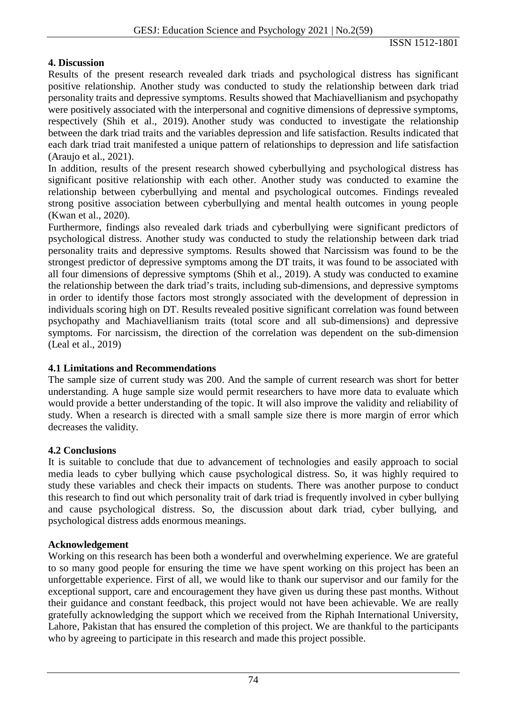## **4. Discussion**

Results of the present research revealed dark triads and psychological distress has significant positive relationship. Another study was conducted to study the relationship between dark triad personality traits and depressive symptoms. Results showed that Machiavellianism and psychopathy were positively associated with the interpersonal and cognitive dimensions of depressive symptoms, respectively (Shih et al., 2019). Another study was conducted to investigate the relationship between the dark triad traits and the variables depression and life satisfaction. Results indicated that each dark triad trait manifested a unique pattern of relationships to depression and life satisfaction (Araujo et al., 2021).

In addition, results of the present research showed cyberbullying and psychological distress has significant positive relationship with each other. Another study was conducted to examine the relationship between cyberbullying and mental and psychological outcomes. Findings revealed strong positive association between cyberbullying and mental health outcomes in young people (Kwan et al., 2020).

Furthermore, findings also revealed dark triads and cyberbullying were significant predictors of psychological distress. Another study was conducted to study the relationship between dark triad personality traits and depressive symptoms. Results showed that Narcissism was found to be the strongest predictor of depressive symptoms among the DT traits, it was found to be associated with all four dimensions of depressive symptoms (Shih et al., 2019). A study was conducted to examine the relationship between the dark triad's traits, including sub-dimensions, and depressive symptoms in order to identify those factors most strongly associated with the development of depression in individuals scoring high on DT. Results revealed positive significant correlation was found between psychopathy and Machiavellianism traits (total score and all sub-dimensions) and depressive symptoms. For narcissism, the direction of the correlation was dependent on the sub-dimension (Leal et al., 2019)

## **4.1 Limitations and Recommendations**

The sample size of current study was 200. And the sample of current research was short for better understanding. A huge sample size would permit researchers to have more data to evaluate which would provide a better understanding of the topic. It will also improve the validity and reliability of study. When a research is directed with a small sample size there is more margin of error which decreases the validity.

## **4.2 Conclusions**

It is suitable to conclude that due to advancement of technologies and easily approach to social media leads to cyber bullying which cause psychological distress. So, it was highly required to study these variables and check their impacts on students. There was another purpose to conduct this research to find out which personality trait of dark triad is frequently involved in cyber bullying and cause psychological distress. So, the discussion about dark triad, cyber bullying, and psychological distress adds enormous meanings.

## **Acknowledgement**

Working on this research has been both a wonderful and overwhelming experience. We are grateful to so many good people for ensuring the time we have spent working on this project has been an unforgettable experience. First of all, we would like to thank our supervisor and our family for the exceptional support, care and encouragement they have given us during these past months. Without their guidance and constant feedback, this project would not have been achievable. We are really gratefully acknowledging the support which we received from the Riphah International University, Lahore, Pakistan that has ensured the completion of this project. We are thankful to the participants who by agreeing to participate in this research and made this project possible.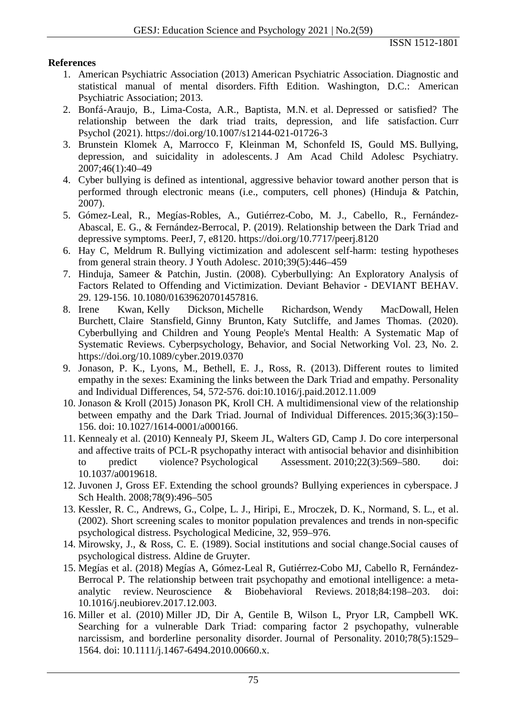## **References**

- 1. American Psychiatric Association (2013) American Psychiatric Association. Diagnostic and statistical manual of mental disorders. Fifth Edition. Washington, D.C.: American Psychiatric Association; 2013.
- 2. Bonfá-Araujo, B., Lima-Costa, A.R., Baptista, M.N. et al. Depressed or satisfied? The relationship between the dark triad traits, depression, and life satisfaction. Curr Psychol (2021).<https://doi.org/10.1007/s12144-021-01726-3>
- 3. Brunstein Klomek A, Marrocco F, Kleinman M, Schonfeld IS, Gould MS. Bullying, depression, and suicidality in adolescents. J Am Acad Child Adolesc Psychiatry. 2007;46(1):40–49
- 4. Cyber bullying is defined as intentional, aggressive behavior toward another person that is performed through electronic means (i.e., computers, cell phones) (Hinduja & Patchin, 2007).
- 5. Gómez-Leal, R., Megías-Robles, A., Gutiérrez-Cobo, M. J., Cabello, R., Fernández-Abascal, E. G., & Fernández-Berrocal, P. (2019). Relationship between the Dark Triad and depressive symptoms. PeerJ, 7, e8120.<https://doi.org/10.7717/peerj.8120>
- 6. Hay C, Meldrum R. Bullying victimization and adolescent self-harm: testing hypotheses from general strain theory. J Youth Adolesc. 2010;39(5):446–459
- 7. Hinduja, Sameer & Patchin, Justin. (2008). Cyberbullying: An Exploratory Analysis of Factors Related to Offending and Victimization. Deviant Behavior - DEVIANT BEHAV. 29. 129-156. 10.1080/01639620701457816.
- 8. [Irene Kwan,](https://www.liebertpub.com/doi/full/10.1089/cyber.2019.0370) [Kelly Dickson,](https://www.liebertpub.com/doi/full/10.1089/cyber.2019.0370) [Michelle Richardson,](https://www.liebertpub.com/doi/full/10.1089/cyber.2019.0370) [Wendy MacDowall,](https://www.liebertpub.com/doi/full/10.1089/cyber.2019.0370) [Helen](https://www.liebertpub.com/doi/full/10.1089/cyber.2019.0370)  [Burchett,](https://www.liebertpub.com/doi/full/10.1089/cyber.2019.0370) [Claire Stansfield,](https://www.liebertpub.com/doi/full/10.1089/cyber.2019.0370) [Ginny Brunton,](https://www.liebertpub.com/doi/full/10.1089/cyber.2019.0370) [Katy Sutcliffe,](https://www.liebertpub.com/doi/full/10.1089/cyber.2019.0370) and [James Thomas.](https://www.liebertpub.com/doi/full/10.1089/cyber.2019.0370) (2020). Cyberbullying and Children and Young People's Mental Health: A Systematic Map of Systematic Reviews. [Cyberpsychology, Behavior, and Social Networking](https://www.liebertpub.com/journal/cyber) Vol. 23, No. 2. <https://doi.org/10.1089/cyber.2019.0370>
- 9. Jonason, P. K., Lyons, M., Bethell, E. J., Ross, R. (2013). Different routes to limited empathy in the sexes: Examining the links between the Dark Triad and empathy. Personality and Individual Differences, 54, 572-576. doi[:10.1016/j.paid.2012.11.009](https://doi.org/10.1016/j.paid.2012.11.009)
- 10. Jonason & Kroll (2015) Jonason PK, Kroll CH. A multidimensional view of the relationship between empathy and the Dark Triad. Journal of Individual Differences. 2015;36(3):150– 156. doi: 10.1027/1614-0001/a000166.
- 11. Kennealy et al. (2010) Kennealy PJ, Skeem JL, Walters GD, Camp J. Do core interpersonal and affective traits of PCL-R psychopathy interact with antisocial behavior and disinhibition to predict violence? Psychological Assessment. 2010;22(3):569–580. doi: 10.1037/a0019618.
- 12. Juvonen J, Gross EF. Extending the school grounds? Bullying experiences in cyberspace. J Sch Health. 2008;78(9):496–505
- 13. Kessler, R. C., Andrews, G., Colpe, L. J., Hiripi, E., Mroczek, D. K., Normand, S. L., et al. (2002). Short screening scales to monitor population prevalences and trends in non-specific psychological distress. Psychological Medicine, 32, 959–976.
- 14. Mirowsky, J., & Ross, C. E. (1989). Social institutions and social change.Social causes of psychological distress. Aldine de Gruyter.
- 15. Megías et al. (2018) Megías A, Gómez-Leal R, Gutiérrez-Cobo MJ, Cabello R, Fernández-Berrocal P. The relationship between trait psychopathy and emotional intelligence: a metaanalytic review. Neuroscience & Biobehavioral Reviews. 2018;84:198–203. doi: 10.1016/j.neubiorev.2017.12.003.
- 16. Miller et al. (2010) Miller JD, Dir A, Gentile B, Wilson L, Pryor LR, Campbell WK. Searching for a vulnerable Dark Triad: comparing factor 2 psychopathy, vulnerable narcissism, and borderline personality disorder. Journal of Personality. 2010;78(5):1529– 1564. doi: 10.1111/j.1467-6494.2010.00660.x.